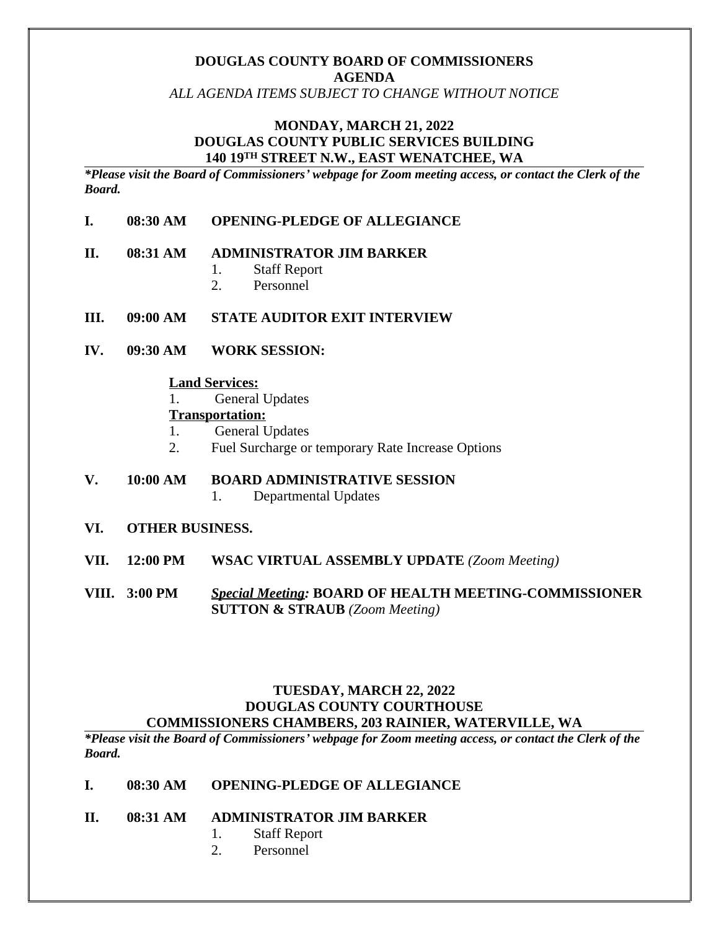# **DOUGLAS COUNTY BOARD OF COMMISSIONERS AGENDA**

*ALL AGENDA ITEMS SUBJECT TO CHANGE WITHOUT NOTICE*

### **MONDAY, MARCH 21, 2022 DOUGLAS COUNTY PUBLIC SERVICES BUILDING 140 19TH STREET N.W., EAST WENATCHEE, WA**

*\*Please visit the Board of Commissioners' webpage for Zoom meeting access, or contact the Clerk of the Board.* 

### **I. 08:30 AM OPENING-PLEDGE OF ALLEGIANCE**

#### **II. 08:31 AM ADMINISTRATOR JIM BARKER**

- 1. Staff Report
- 2. Personnel

### **III. 09:00 AM STATE AUDITOR EXIT INTERVIEW**

**IV. 09:30 AM WORK SESSION:**

### **Land Services:**

1. General Updates

### **Transportation:**

- 1. General Updates
- 2. Fuel Surcharge or temporary Rate Increase Options
- **V. 10:00 AM BOARD ADMINISTRATIVE SESSION** 1. Departmental Updates
- **VI. OTHER BUSINESS.**
- **VII. 12:00 PM WSAC VIRTUAL ASSEMBLY UPDATE** *(Zoom Meeting)*
- **VIII. 3:00 PM** *Special Meeting:* **BOARD OF HEALTH MEETING-COMMISSIONER SUTTON & STRAUB** *(Zoom Meeting)*

### **TUESDAY, MARCH 22, 2022 DOUGLAS COUNTY COURTHOUSE COMMISSIONERS CHAMBERS, 203 RAINIER, WATERVILLE, WA**

*\*Please visit the Board of Commissioners' webpage for Zoom meeting access, or contact the Clerk of the Board.* 

#### **I. 08:30 AM OPENING-PLEDGE OF ALLEGIANCE**

- **II. 08:31 AM ADMINISTRATOR JIM BARKER**
	- 1. Staff Report
	- 2. Personnel